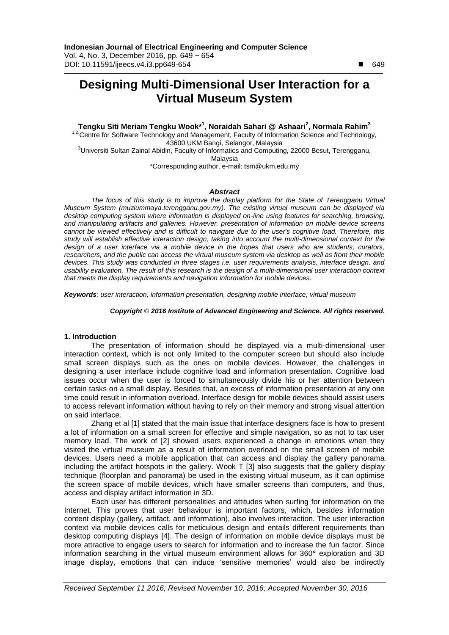# **Designing Multi-Dimensional User Interaction for a Virtual Museum System**

**Tengku Siti Meriam Tengku Wook\* 1 , Noraidah Sahari @ Ashaari<sup>2</sup> , Normala Rahim<sup>3</sup>**

1,2. Centre for Software Technology and Management, Faculty of Information Science and Technology, 43600 UKM Bangi, Selangor, Malaysia

<sup>3</sup>Universiti Sultan Zainal Abidin, Faculty of Informatics and Computing, 22000 Besut, Terengganu, Malaysia

\*Corresponding author, e-mail: tsm@ukm.edu.my

#### *Abstract*

*The focus of this study is to improve the display platform for the State of Terengganu Virtual Museum System (muziummaya.terengganu.gov.my). The existing virtual museum can be displayed via desktop computing system where information is displayed on-line using features for searching, browsing, and manipulating artifacts and galleries. However, presentation of information on mobile device screens cannot be viewed effectively and is difficult to navigate due to the user's cognitive load. Therefore, this study will establish effective interaction design, taking into account the multi-dimensional context for the design of a user interface via a mobile device in the hopes that users who are students, curators, researchers, and the public can access the virtual museum system via desktop as well as from their mobile devices. This study was conducted in three stages i.e. user requirements analysis, interface design, and usability evaluation. The result of this research is the design of a multi-dimensional user interaction context that meets the display requirements and navigation information for mobile devices.*

*Keywords: user interaction, information presentation, designing mobile interface, virtual museum*

#### *Copyright* © *2016 Institute of Advanced Engineering and Science. All rights reserved.*

# **1. Introduction**

The presentation of information should be displayed via a multi-dimensional user interaction context, which is not only limited to the computer screen but should also include small screen displays such as the ones on mobile devices. However, the challenges in designing a user interface include cognitive load and information presentation. Cognitive load issues occur when the user is forced to simultaneously divide his or her attention between certain tasks on a small display. Besides that, an excess of information presentation at any one time could result in information overload. Interface design for mobile devices should assist users to access relevant information without having to rely on their memory and strong visual attention on said interface.

Zhang et al [1] stated that the main issue that interface designers face is how to present a lot of information on a small screen for effective and simple navigation, so as not to tax user memory load. The work of [2] showed users experienced a change in emotions when they visited the virtual museum as a result of information overload on the small screen of mobile devices. Users need a mobile application that can access and display the gallery panorama including the artifact hotspots in the gallery. Wook T [3] also suggests that the gallery display technique (floorplan and panorama) be used in the existing virtual museum, as it can optimise the screen space of mobile devices, which have smaller screens than computers, and thus, access and display artifact information in 3D.

Each user has different personalities and attitudes when surfing for information on the Internet. This proves that user behaviour is important factors, which, besides information content display (gallery, artifact, and information), also involves interaction. The user interaction context via mobile devices calls for meticulous design and entails different requirements than desktop computing displays [4]. The design of information on mobile device displays must be more attractive to engage users to search for information and to increase the fun factor. Since information searching in the virtual museum environment allows for 360**°** exploration and 3D image display, emotions that can induce "sensitive memories" would also be indirectly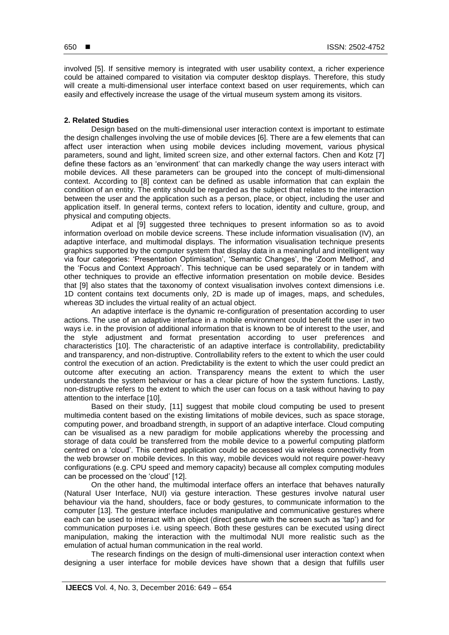involved [5]. If sensitive memory is integrated with user usability context, a richer experience could be attained compared to visitation via computer desktop displays. Therefore, this study will create a multi-dimensional user interface context based on user requirements, which can easily and effectively increase the usage of the virtual museum system among its visitors.

#### **2. Related Studies**

Design based on the multi-dimensional user interaction context is important to estimate the design challenges involving the use of mobile devices [6]. There are a few elements that can affect user interaction when using mobile devices including movement, various physical parameters, sound and light, limited screen size, and other external factors. Chen and Kotz [7] define these factors as an "environment" that can markedly change the way users interact with mobile devices. All these parameters can be grouped into the concept of multi-dimensional context. According to [8] context can be defined as usable information that can explain the condition of an entity. The entity should be regarded as the subject that relates to the interaction between the user and the application such as a person, place, or object, including the user and application itself. In general terms, context refers to location, identity and culture, group, and physical and computing objects.

Adipat et al [9] suggested three techniques to present information so as to avoid information overload on mobile device screens. These include information visualisation (IV), an adaptive interface, and multimodal displays. The information visualisation technique presents graphics supported by the computer system that display data in a meaningful and intelligent way via four categories: 'Presentation Optimisation', 'Semantic Changes', the 'Zoom Method', and the 'Focus and Context Approach'. This technique can be used separately or in tandem with other techniques to provide an effective information presentation on mobile device. Besides that [9] also states that the taxonomy of context visualisation involves context dimensions i.e. 1D content contains text documents only, 2D is made up of images, maps, and schedules, whereas 3D includes the virtual reality of an actual object.

An adaptive interface is the dynamic re-configuration of presentation according to user actions. The use of an adaptive interface in a mobile environment could benefit the user in two ways i.e. in the provision of additional information that is known to be of interest to the user, and the style adjustment and format presentation according to user preferences and characteristics [10]. The characteristic of an adaptive interface is controllability, predictability and transparency, and non-distruptive. Controllability refers to the extent to which the user could control the execution of an action. Predictability is the extent to which the user could predict an outcome after executing an action. Transparency means the extent to which the user understands the system behaviour or has a clear picture of how the system functions. Lastly, non-distruptive refers to the extent to which the user can focus on a task without having to pay attention to the interface [10].

Based on their study, [11] suggest that mobile cloud computing be used to present multimedia content based on the existing limitations of mobile devices, such as space storage, computing power, and broadband strength, in support of an adaptive interface. Cloud computing can be visualised as a new paradigm for mobile applications whereby the processing and storage of data could be transferred from the mobile device to a powerful computing platform centred on a "cloud". This centred application could be accessed via wireless connectivity from the web browser on mobile devices. In this way, mobile devices would not require power-heavy configurations (e.g. CPU speed and memory capacity) because all complex computing modules can be processed on the "cloud" [12].

On the other hand, the multimodal interface offers an interface that behaves naturally (Natural User Interface, NUI) via gesture interaction. These gestures involve natural user behaviour via the hand, shoulders, face or body gestures, to communicate information to the computer [13]. The gesture interface includes manipulative and communicative gestures where each can be used to interact with an object (direct gesture with the screen such as "tap") and for communication purposes i.e. using speech. Both these gestures can be executed using direct manipulation, making the interaction with the multimodal NUI more realistic such as the emulation of actual human communication in the real world.

The research findings on the design of multi-dimensional user interaction context when designing a user interface for mobile devices have shown that a design that fulfills user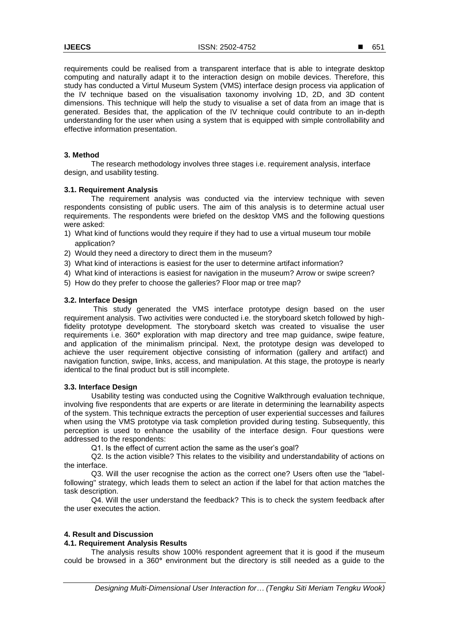requirements could be realised from a transparent interface that is able to integrate desktop computing and naturally adapt it to the interaction design on mobile devices. Therefore, this study has conducted a Virtul Museum System (VMS) interface design process via application of the IV technique based on the visualisation taxonomy involving 1D, 2D, and 3D content dimensions. This technique will help the study to visualise a set of data from an image that is generated. Besides that, the application of the IV technique could contribute to an in-depth understanding for the user when using a system that is equipped with simple controllability and effective information presentation.

#### **3. Method**

The research methodology involves three stages i.e. requirement analysis, interface design, and usability testing.

#### **3.1. Requirement Analysis**

The requirement analysis was conducted via the interview technique with seven respondents consisting of public users. The aim of this analysis is to determine actual user requirements. The respondents were briefed on the desktop VMS and the following questions were asked:

- 1) What kind of functions would they require if they had to use a virtual museum tour mobile application?
- 2) Would they need a directory to direct them in the museum?
- 3) What kind of interactions is easiest for the user to determine artifact information?
- 4) What kind of interactions is easiest for navigation in the museum? Arrow or swipe screen?
- 5) How do they prefer to choose the galleries? Floor map or tree map?

#### **3.2. Interface Design**

This study generated the VMS interface prototype design based on the user requirement analysis. Two activities were conducted i.e. the storyboard sketch followed by highfidelity prototype development. The storyboard sketch was created to visualise the user requirements i.e. 360**°** exploration with map directory and tree map guidance, swipe feature, and application of the minimalism principal. Next, the prototype design was developed to achieve the user requirement objective consisting of information (gallery and artifact) and navigation function, swipe, links, access, and manipulation. At this stage, the protoype is nearly identical to the final product but is still incomplete.

# **3.3. Interface Design**

Usability testing was conducted using the Cognitive Walkthrough evaluation technique, involving five respondents that are experts or are literate in determining the learnability aspects of the system. This technique extracts the perception of user experiential successes and failures when using the VMS prototype via task completion provided during testing. Subsequently, this perception is used to enhance the usability of the interface design. Four questions were addressed to the respondents:

Q1. Is the effect of current action the same as the user's goal?

Q2. Is the action visible? This relates to the visibility and understandability of actions on the interface.

Q3. Will the user recognise the action as the correct one? Users often use the "labelfollowing" strategy, which leads them to select an action if the label for that action matches the task description.

Q4. Will the user understand the feedback? This is to check the system feedback after the user executes the action.

# **4. Result and Discussion**

# **4.1. Requirement Analysis Results**

The analysis results show 100% respondent agreement that it is good if the museum could be browsed in a 360**°** environment but the directory is still needed as a guide to the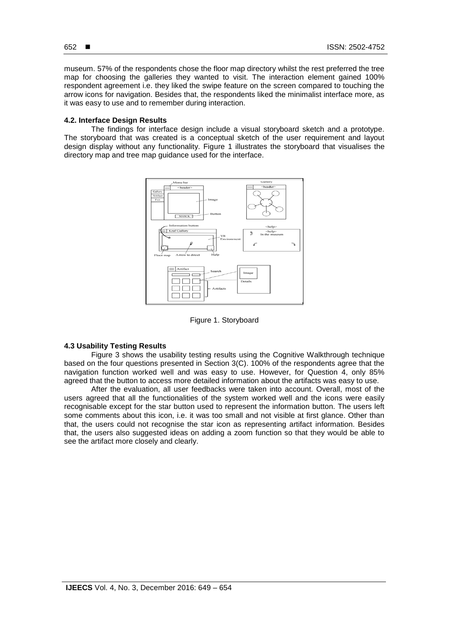museum. 57% of the respondents chose the floor map directory whilst the rest preferred the tree map for choosing the galleries they wanted to visit. The interaction element gained 100% respondent agreement i.e. they liked the swipe feature on the screen compared to touching the arrow icons for navigation. Besides that, the respondents liked the minimalist interface more, as it was easy to use and to remember during interaction.

# **4.2. Interface Design Results**

The findings for interface design include a visual storyboard sketch and a prototype. The storyboard that was created is a conceptual sketch of the user requirement and layout design display without any functionality. Figure 1 illustrates the storyboard that visualises the directory map and tree map guidance used for the interface.



Figure 1. Storyboard

# **4.3 Usability Testing Results**

Figure 3 shows the usability testing results using the Cognitive Walkthrough technique based on the four questions presented in Section 3(C). 100% of the respondents agree that the navigation function worked well and was easy to use. However, for Question 4, only 85% agreed that the button to access more detailed information about the artifacts was easy to use.

After the evaluation, all user feedbacks were taken into account. Overall, most of the users agreed that all the functionalities of the system worked well and the icons were easily recognisable except for the star button used to represent the information button. The users left some comments about this icon, i.e. it was too small and not visible at first glance. Other than that, the users could not recognise the star icon as representing artifact information. Besides that, the users also suggested ideas on adding a zoom function so that they would be able to see the artifact more closely and clearly.

652 ■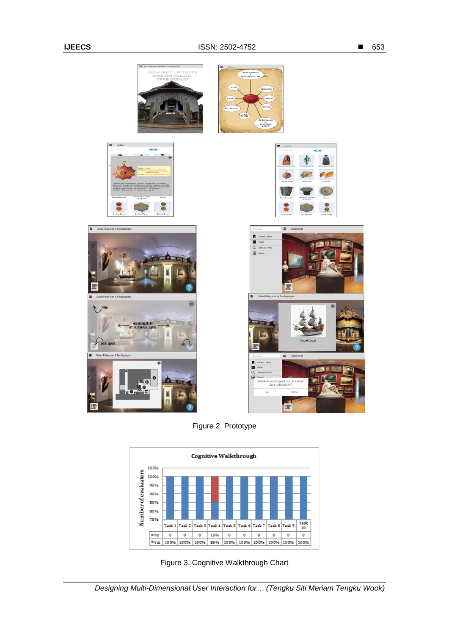

Figure 2. Prototype



Figure 3. Cognitive Walkthrough Chart